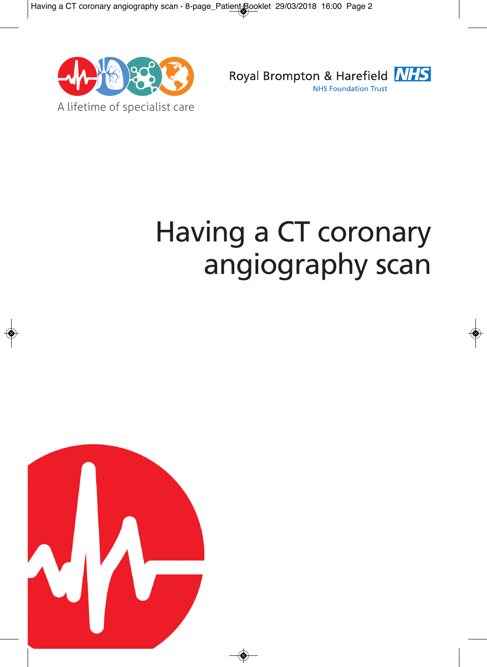



# Having a CT coronary angiography scan

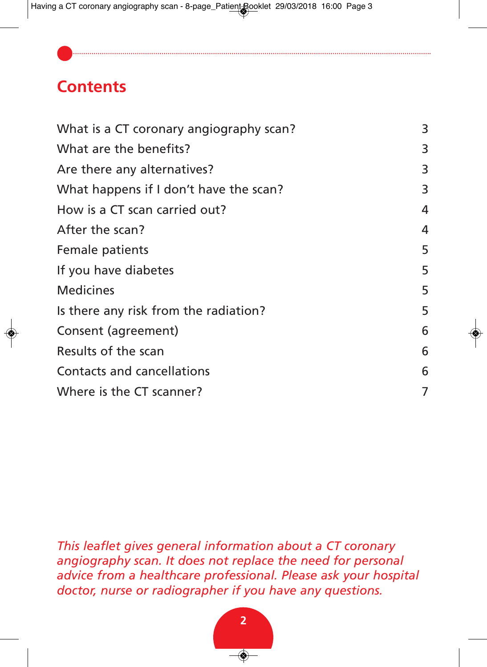# **Contents**

| What is a CT coronary angiography scan? | 3              |
|-----------------------------------------|----------------|
| What are the benefits?                  | 3              |
| Are there any alternatives?             | 3              |
| What happens if I don't have the scan?  | 3              |
| How is a CT scan carried out?           | $\overline{4}$ |
| After the scan?                         | $\overline{4}$ |
| Female patients                         | 5              |
| If you have diabetes                    | 5              |
| <b>Medicines</b>                        | 5              |
| Is there any risk from the radiation?   | 5              |
| Consent (agreement)                     | 6              |
| Results of the scan                     | 6              |
| Contacts and cancellations              | 6              |
| Where is the CT scanner?                | 7              |

*This leaflet gives general information about a CT coronary angiography scan. It does not replace the need for personal advice from a healthcare professional. Please ask your hospital doctor, nurse or radiographer if you have any questions.*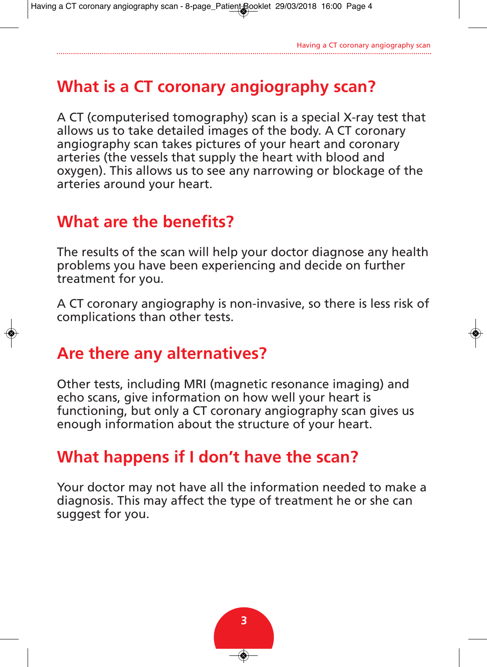# **What is a CT coronary angiography scan?**

A CT (computerised tomography) scan is a special X-ray test that allows us to take detailed images of the body. A CT coronary angiography scan takes pictures of your heart and coronary arteries (the vessels that supply the heart with blood and oxygen). This allows us to see any narrowing or blockage of the arteries around your heart.

# **What are the benefits?**

The results of the scan will help your doctor diagnose any health problems you have been experiencing and decide on further treatment for you.

A CT coronary angiography is non-invasive, so there is less risk of complications than other tests.

# **Are there any alternatives?**

Other tests, including MRI (magnetic resonance imaging) and echo scans, give information on how well your heart is functioning, but only a CT coronary angiography scan gives us enough information about the structure of your heart.

# **What happens if I don't have the scan?**

Your doctor may not have all the information needed to make a diagnosis. This may affect the type of treatment he or she can suggest for you.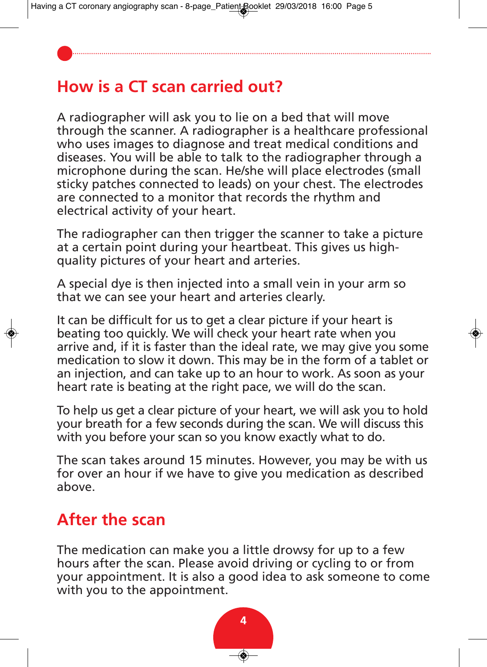# **How is a CT scan carried out?**

A radiographer will ask you to lie on a bed that will move through the scanner. A radiographer is a healthcare professional who uses images to diagnose and treat medical conditions and diseases. You will be able to talk to the radiographer through a microphone during the scan. He/she will place electrodes (small sticky patches connected to leads) on your chest. The electrodes are connected to a monitor that records the rhythm and electrical activity of your heart.

The radiographer can then trigger the scanner to take a picture at a certain point during your heartbeat. This gives us highquality pictures of your heart and arteries.

A special dye is then injected into a small vein in your arm so that we can see your heart and arteries clearly.

It can be difficult for us to get a clear picture if your heart is beating too quickly. We will check your heart rate when you arrive and, if it is faster than the ideal rate, we may give you some medication to slow it down. This may be in the form of a tablet or an injection, and can take up to an hour to work. As soon as your heart rate is beating at the right pace, we will do the scan.

To help us get a clear picture of your heart, we will ask you to hold your breath for a few seconds during the scan. We will discuss this with you before your scan so you know exactly what to do.

The scan takes around 15 minutes. However, you may be with us for over an hour if we have to give you medication as described above.

# **After the scan**

The medication can make you a little drowsy for up to a few hours after the scan. Please avoid driving or cycling to or from your appointment. It is also a good idea to ask someone to come with you to the appointment.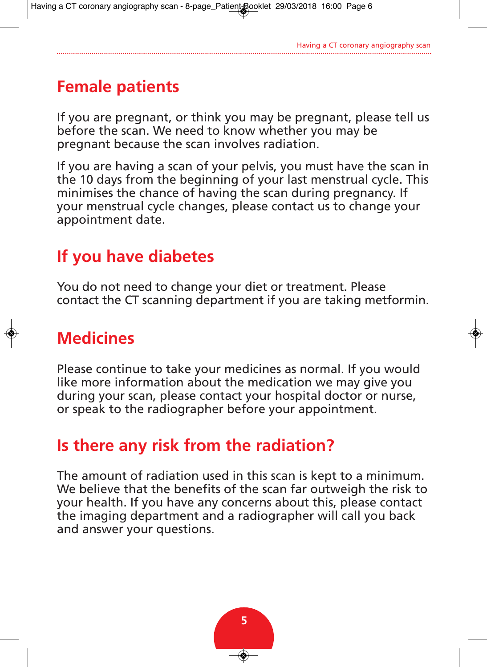# **Female patients**

If you are pregnant, or think you may be pregnant, please tell us before the scan. We need to know whether you may be pregnant because the scan involves radiation.

If you are having a scan of your pelvis, you must have the scan in the 10 days from the beginning of your last menstrual cycle. This minimises the chance of having the scan during pregnancy. If your menstrual cycle changes, please contact us to change your appointment date.

# **If you have diabetes**

You do not need to change your diet or treatment. Please contact the CT scanning department if you are taking metformin.

# **Medicines**

Please continue to take your medicines as normal. If you would like more information about the medication we may give you during your scan, please contact your hospital doctor or nurse, or speak to the radiographer before your appointment.

# **Is there any risk from the radiation?**

The amount of radiation used in this scan is kept to a minimum. We believe that the benefits of the scan far outweigh the risk to your health. If you have any concerns about this, please contact the imaging department and a radiographer will call you back and answer your questions.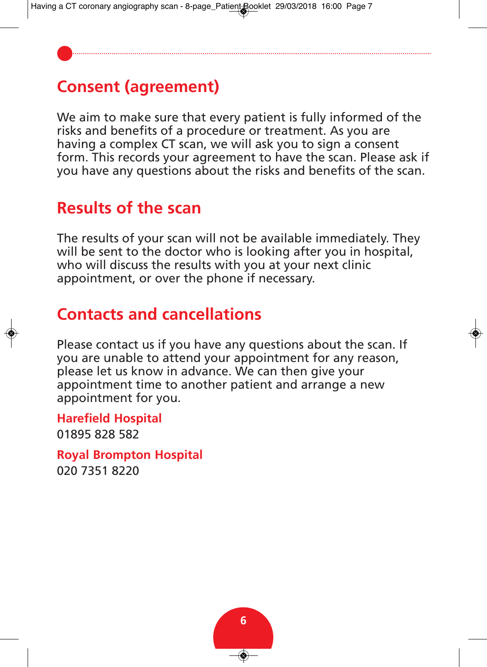# **Consent (agreement)**

We aim to make sure that every patient is fully informed of the risks and benefits of a procedure or treatment. As you are having a complex CT scan, we will ask you to sign a consent form. This records your agreement to have the scan. Please ask if you have any questions about the risks and benefits of the scan.

#### **Results of the scan**

The results of your scan will not be available immediately. They will be sent to the doctor who is looking after you in hospital, who will discuss the results with you at your next clinic appointment, or over the phone if necessary.

# **Contacts and cancellations**

Please contact us if you have any questions about the scan. If you are unable to attend your appointment for any reason, please let us know in advance. We can then give your appointment time to another patient and arrange a new appointment for you.

**Harefield Hospital** 01895 828 582

**Royal Brompton Hospital** 020 7351 8220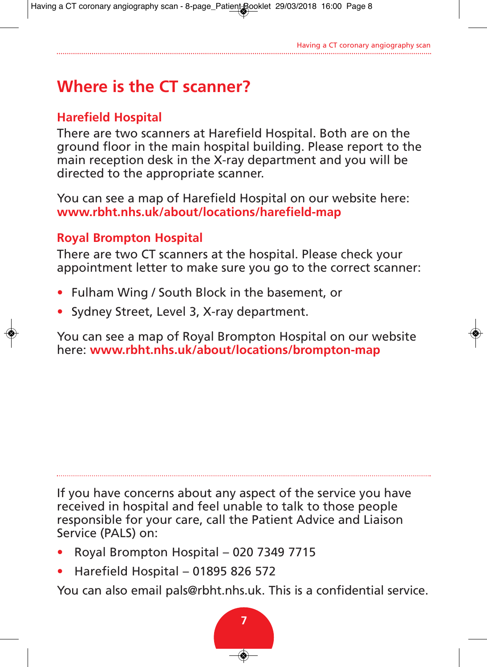# **Where is the CT scanner?**

#### **Harefield Hospital**

There are two scanners at Harefield Hospital. Both are on the ground floor in the main hospital building. Please report to the main reception desk in the X-ray department and you will be directed to the appropriate scanner.

You can see a map of Harefield Hospital on our website here: **www.rbht.nhs.uk/about/locations/harefield-map**

#### **Royal Brompton Hospital**

There are two CT scanners at the hospital. Please check your appointment letter to make sure you go to the correct scanner:

- Fulham Wing / South Block in the basement, or
- Sydney Street, Level 3, X-ray department.

You can see a map of Royal Brompton Hospital on our website here: **www.rbht.nhs.uk/about/locations/brompton-map**

If you have concerns about any aspect of the service you have received in hospital and feel unable to talk to those people responsible for your care, call the Patient Advice and Liaison Service (PALS) on:

- Royal Brompton Hospital 020 7349 7715
- Harefield Hospital 01895 826 572

You can also email pals@rbht.nhs.uk. This is a confidential service.